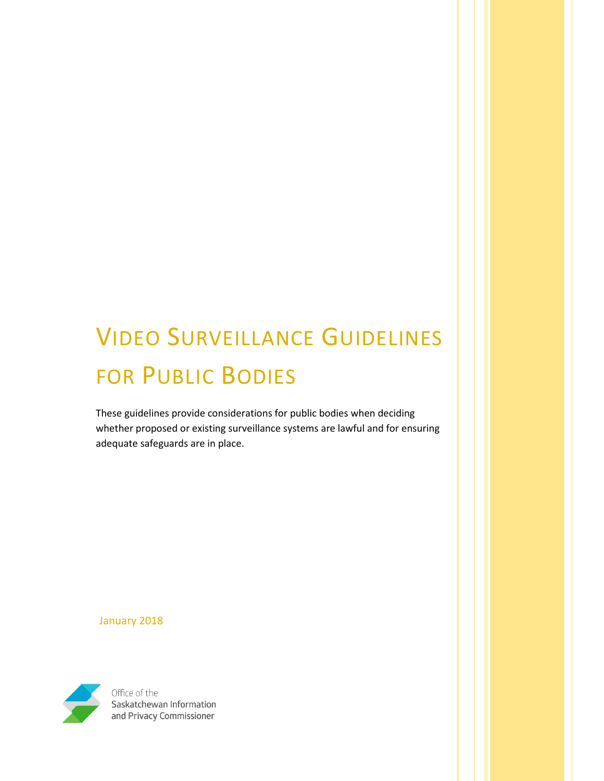# VIDEO SURVEILLANCE GUIDELINES FOR PUBLIC BODIES

These guidelines provide considerations for public bodies when deciding whether proposed or existing surveillance systems are lawful and for ensuring adequate safeguards are in place.

January 2018



Office of the Saskatchewan Information and Privacy Commissioner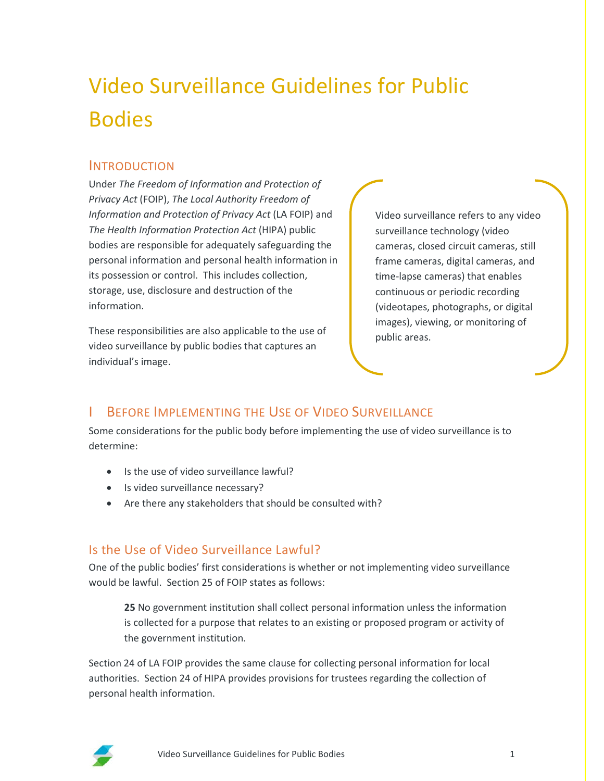## Video Surveillance Guidelines for Public Bodies

#### INTRODUCTION

Under *The Freedom of Information and Protection of Privacy Act* (FOIP), *The Local Authority Freedom of Information and Protection of Privacy Act* (LA FOIP) and *The Health Information Protection Act* (HIPA) public bodies are responsible for adequately safeguarding the personal information and personal health information in its possession or control. This includes collection, storage, use, disclosure and destruction of the information.

These responsibilities are also applicable to the use of video surveillance by public bodies that captures an individual's image.

Video surveillance refers to any video surveillance technology (video cameras, closed circuit cameras, still frame cameras, digital cameras, and time-lapse cameras) that enables continuous or periodic recording (videotapes, photographs, or digital images), viewing, or monitoring of public areas.

## BEFORE IMPLEMENTING THE USE OF VIDEO SURVEILLANCE

Some considerations for the public body before implementing the use of video surveillance is to determine:

- Is the use of video surveillance lawful?
- Is video surveillance necessary?
- Are there any stakeholders that should be consulted with?

#### Is the Use of Video Surveillance Lawful?

One of the public bodies' first considerations is whether or not implementing video surveillance would be lawful. Section 25 of FOIP states as follows:

**25** No government institution shall collect personal information unless the information is collected for a purpose that relates to an existing or proposed program or activity of the government institution.

Section 24 of LA FOIP provides the same clause for collecting personal information for local authorities. Section 24 of HIPA provides provisions for trustees regarding the collection of personal health information.

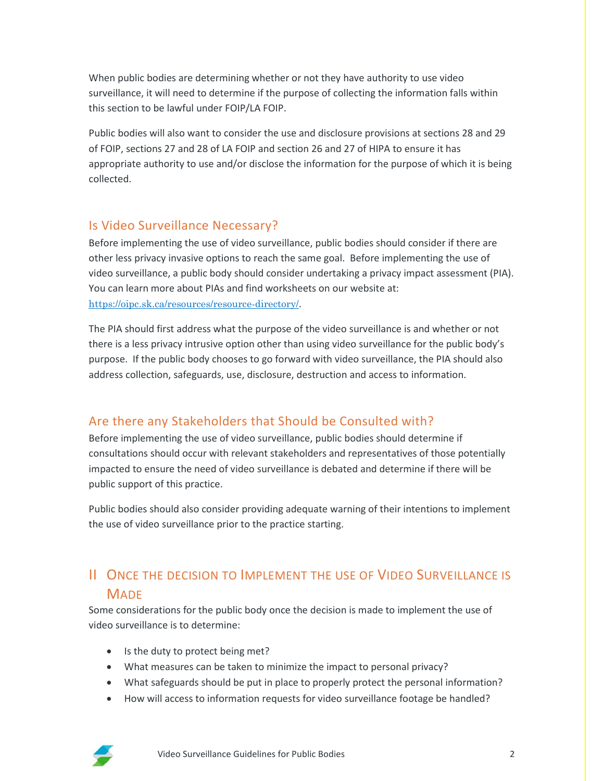When public bodies are determining whether or not they have authority to use video surveillance, it will need to determine if the purpose of collecting the information falls within this section to be lawful under FOIP/LA FOIP.

Public bodies will also want to consider the use and disclosure provisions at sections 28 and 29 of FOIP, sections 27 and 28 of LA FOIP and section 26 and 27 of HIPA to ensure it has appropriate authority to use and/or disclose the information for the purpose of which it is being collected.

#### Is Video Surveillance Necessary?

Before implementing the use of video surveillance, public bodies should consider if there are other less privacy invasive options to reach the same goal. Before implementing the use of video surveillance, a public body should consider undertaking a privacy impact assessment (PIA). You can learn more about PIAs and find worksheets on our website at: <https://oipc.sk.ca/resources/resource-directory/>.

The PIA should first address what the purpose of the video surveillance is and whether or not there is a less privacy intrusive option other than using video surveillance for the public body's purpose. If the public body chooses to go forward with video surveillance, the PIA should also address collection, safeguards, use, disclosure, destruction and access to information.

#### Are there any Stakeholders that Should be Consulted with?

Before implementing the use of video surveillance, public bodies should determine if consultations should occur with relevant stakeholders and representatives of those potentially impacted to ensure the need of video surveillance is debated and determine if there will be public support of this practice.

Public bodies should also consider providing adequate warning of their intentions to implement the use of video surveillance prior to the practice starting.

## II ONCE THE DECISION TO IMPLEMENT THE USE OF VIDEO SURVEILLANCE IS **MADE**

Some considerations for the public body once the decision is made to implement the use of video surveillance is to determine:

- Is the duty to protect being met?
- What measures can be taken to minimize the impact to personal privacy?
- What safeguards should be put in place to properly protect the personal information?
- How will access to information requests for video surveillance footage be handled?

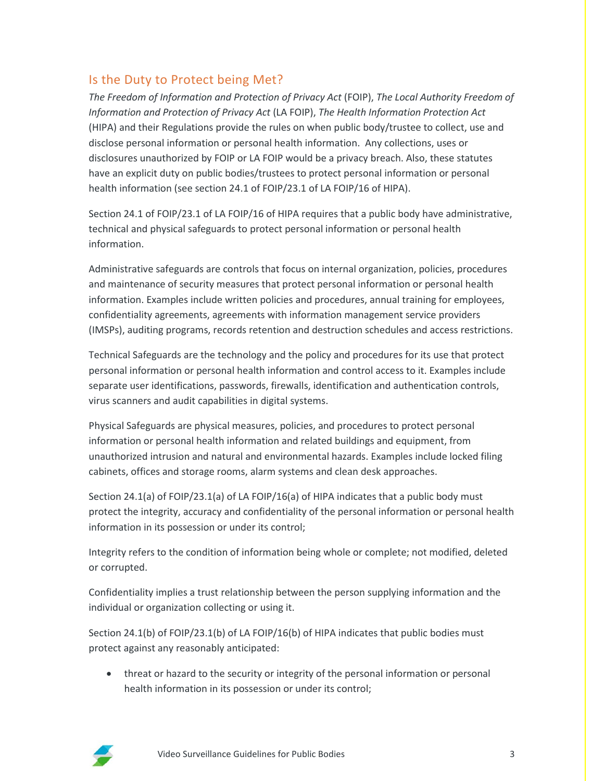#### Is the Duty to Protect being Met?

*The Freedom of Information and Protection of Privacy Act* (FOIP), *The Local Authority Freedom of Information and Protection of Privacy Act* (LA FOIP), *The Health Information Protection Act* (HIPA) and their Regulations provide the rules on when public body/trustee to collect, use and disclose personal information or personal health information. Any collections, uses or disclosures unauthorized by FOIP or LA FOIP would be a privacy breach. Also, these statutes have an explicit duty on public bodies/trustees to protect personal information or personal health information (see section 24.1 of FOIP/23.1 of LA FOIP/16 of HIPA).

Section 24.1 of FOIP/23.1 of LA FOIP/16 of HIPA requires that a public body have administrative, technical and physical safeguards to protect personal information or personal health information.

Administrative safeguards are controls that focus on internal organization, policies, procedures and maintenance of security measures that protect personal information or personal health information. Examples include written policies and procedures, annual training for employees, confidentiality agreements, agreements with information management service providers (IMSPs), auditing programs, records retention and destruction schedules and access restrictions.

Technical Safeguards are the technology and the policy and procedures for its use that protect personal information or personal health information and control access to it. Examples include separate user identifications, passwords, firewalls, identification and authentication controls, virus scanners and audit capabilities in digital systems.

Physical Safeguards are physical measures, policies, and procedures to protect personal information or personal health information and related buildings and equipment, from unauthorized intrusion and natural and environmental hazards. Examples include locked filing cabinets, offices and storage rooms, alarm systems and clean desk approaches.

Section 24.1(a) of FOIP/23.1(a) of LA FOIP/16(a) of HIPA indicates that a public body must protect the integrity, accuracy and confidentiality of the personal information or personal health information in its possession or under its control;

Integrity refers to the condition of information being whole or complete; not modified, deleted or corrupted.

Confidentiality implies a trust relationship between the person supplying information and the individual or organization collecting or using it.

Section 24.1(b) of FOIP/23.1(b) of LA FOIP/16(b) of HIPA indicates that public bodies must protect against any reasonably anticipated:

• threat or hazard to the security or integrity of the personal information or personal health information in its possession or under its control;

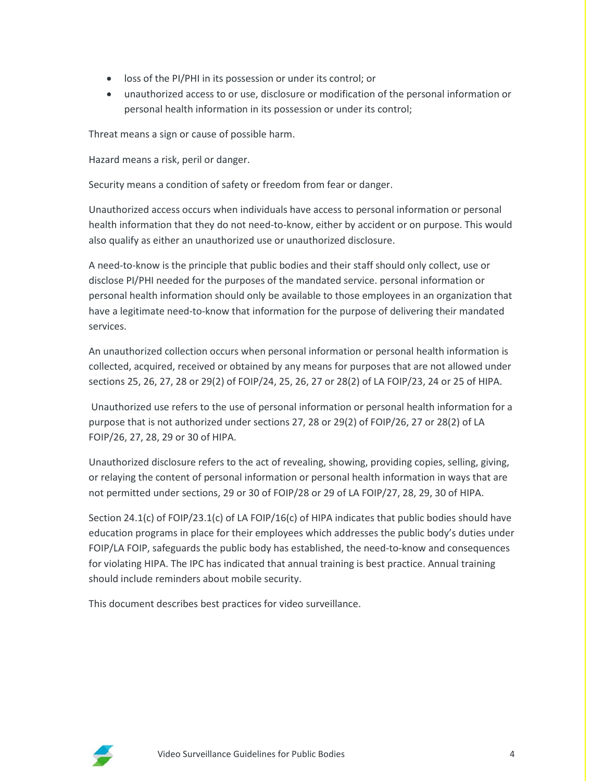- loss of the PI/PHI in its possession or under its control; or
- unauthorized access to or use, disclosure or modification of the personal information or personal health information in its possession or under its control;

Threat means a sign or cause of possible harm.

Hazard means a risk, peril or danger.

Security means a condition of safety or freedom from fear or danger.

Unauthorized access occurs when individuals have access to personal information or personal health information that they do not need-to-know, either by accident or on purpose. This would also qualify as either an unauthorized use or unauthorized disclosure.

A need-to-know is the principle that public bodies and their staff should only collect, use or disclose PI/PHI needed for the purposes of the mandated service. personal information or personal health information should only be available to those employees in an organization that have a legitimate need-to-know that information for the purpose of delivering their mandated services.

An unauthorized collection occurs when personal information or personal health information is collected, acquired, received or obtained by any means for purposes that are not allowed under sections 25, 26, 27, 28 or 29(2) of FOIP/24, 25, 26, 27 or 28(2) of LA FOIP/23, 24 or 25 of HIPA.

Unauthorized use refers to the use of personal information or personal health information for a purpose that is not authorized under sections 27, 28 or 29(2) of FOIP/26, 27 or 28(2) of LA FOIP/26, 27, 28, 29 or 30 of HIPA.

Unauthorized disclosure refers to the act of revealing, showing, providing copies, selling, giving, or relaying the content of personal information or personal health information in ways that are not permitted under sections, 29 or 30 of FOIP/28 or 29 of LA FOIP/27, 28, 29, 30 of HIPA.

Section 24.1(c) of FOIP/23.1(c) of LA FOIP/16(c) of HIPA indicates that public bodies should have education programs in place for their employees which addresses the public body's duties under FOIP/LA FOIP, safeguards the public body has established, the need-to-know and consequences for violating HIPA. The IPC has indicated that annual training is best practice. Annual training should include reminders about mobile security.

This document describes best practices for video surveillance.

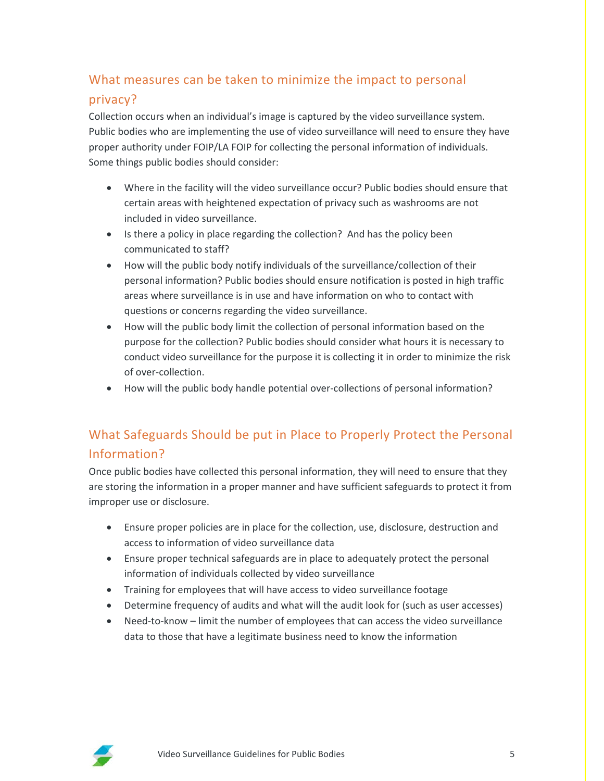## What measures can be taken to minimize the impact to personal privacy?

Collection occurs when an individual's image is captured by the video surveillance system. Public bodies who are implementing the use of video surveillance will need to ensure they have proper authority under FOIP/LA FOIP for collecting the personal information of individuals. Some things public bodies should consider:

- Where in the facility will the video surveillance occur? Public bodies should ensure that certain areas with heightened expectation of privacy such as washrooms are not included in video surveillance.
- Is there a policy in place regarding the collection? And has the policy been communicated to staff?
- How will the public body notify individuals of the surveillance/collection of their personal information? Public bodies should ensure notification is posted in high traffic areas where surveillance is in use and have information on who to contact with questions or concerns regarding the video surveillance.
- How will the public body limit the collection of personal information based on the purpose for the collection? Public bodies should consider what hours it is necessary to conduct video surveillance for the purpose it is collecting it in order to minimize the risk of over-collection.
- How will the public body handle potential over-collections of personal information?

## What Safeguards Should be put in Place to Properly Protect the Personal Information?

Once public bodies have collected this personal information, they will need to ensure that they are storing the information in a proper manner and have sufficient safeguards to protect it from improper use or disclosure.

- Ensure proper policies are in place for the collection, use, disclosure, destruction and access to information of video surveillance data
- Ensure proper technical safeguards are in place to adequately protect the personal information of individuals collected by video surveillance
- Training for employees that will have access to video surveillance footage
- Determine frequency of audits and what will the audit look for (such as user accesses)
- Need-to-know limit the number of employees that can access the video surveillance data to those that have a legitimate business need to know the information

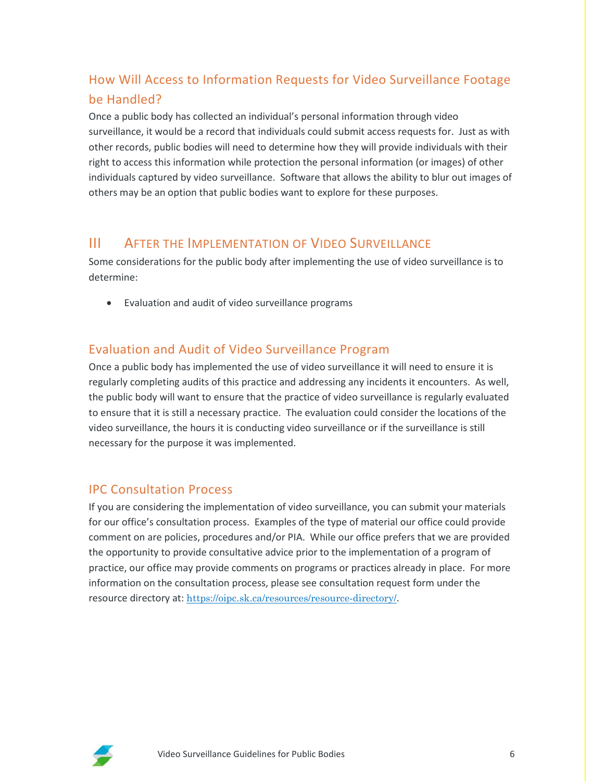## How Will Access to Information Requests for Video Surveillance Footage be Handled?

Once a public body has collected an individual's personal information through video surveillance, it would be a record that individuals could submit access requests for. Just as with other records, public bodies will need to determine how they will provide individuals with their right to access this information while protection the personal information (or images) of other individuals captured by video surveillance. Software that allows the ability to blur out images of others may be an option that public bodies want to explore for these purposes.

#### III AFTER THE IMPLEMENTATION OF VIDEO SURVEILLANCE

Some considerations for the public body after implementing the use of video surveillance is to determine:

• Evaluation and audit of video surveillance programs

#### Evaluation and Audit of Video Surveillance Program

Once a public body has implemented the use of video surveillance it will need to ensure it is regularly completing audits of this practice and addressing any incidents it encounters. As well, the public body will want to ensure that the practice of video surveillance is regularly evaluated to ensure that it is still a necessary practice. The evaluation could consider the locations of the video surveillance, the hours it is conducting video surveillance or if the surveillance is still necessary for the purpose it was implemented.

#### IPC Consultation Process

If you are considering the implementation of video surveillance, you can submit your materials for our office's consultation process. Examples of the type of material our office could provide comment on are policies, procedures and/or PIA. While our office prefers that we are provided the opportunity to provide consultative advice prior to the implementation of a program of practice, our office may provide comments on programs or practices already in place. For more information on the consultation process, please see consultation request form under the resource directory at: <https://oipc.sk.ca/resources/resource-directory/>.